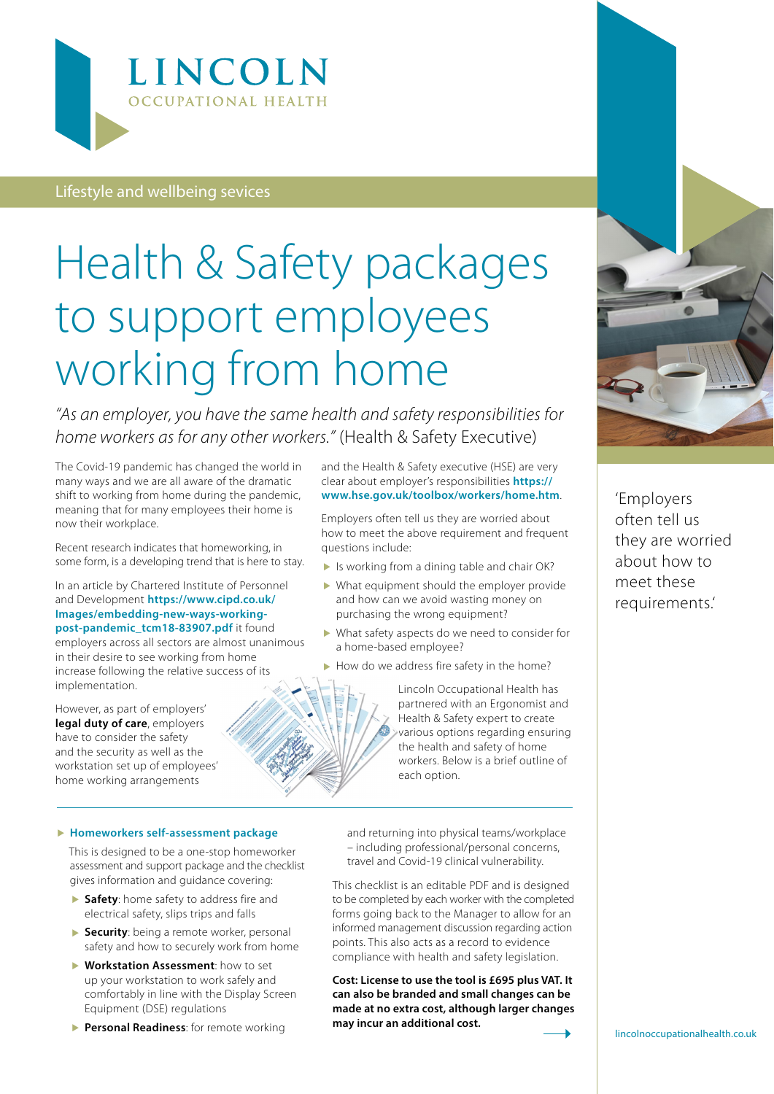

### Lifestyle and wellbeing sevices

# Health & Safety packages to support employees working from home

*"As an employer, you have the same health and safety responsibilities for home workers as for any other workers."* (Health & Safety Executive)

The Covid-19 pandemic has changed the world in many ways and we are all aware of the dramatic shift to working from home during the pandemic, meaning that for many employees their home is now their workplace.

Recent research indicates that homeworking, in some form, is a developing trend that is here to stay.

In an article by Chartered Institute of Personnel and Development **[https://www.cipd.co.uk/](https://www.cipd.co.uk/Images/embedding-new-ways-working-post-pandemic_tcm18-83907.pdf) [Images/embedding-new-ways-working](https://www.cipd.co.uk/Images/embedding-new-ways-working-post-pandemic_tcm18-83907.pdf)[post-pandemic\\_tcm18-83907.pdf](https://www.cipd.co.uk/Images/embedding-new-ways-working-post-pandemic_tcm18-83907.pdf)** it found employers across all sectors are almost unanimous in their desire to see working from home increase following the relative success of its implementation.

However, as part of employers' **legal duty of care**, employers have to consider the safety and the security as well as the workstation set up of employees' home working arrangements

and the Health & Safety executive (HSE) are very clear about employer's responsibilities **[https://](https://www.hse.gov.uk/toolbox/workers/home.htm) [www.hse.gov.uk/toolbox/workers/home.htm](https://www.hse.gov.uk/toolbox/workers/home.htm)**.

Employers often tell us they are worried about how to meet the above requirement and frequent questions include:

- In Is working from a dining table and chair OK?
- What equipment should the employer provide and how can we avoid wasting money on purchasing the wrong equipment?
- What safety aspects do we need to consider for a home-based employee?
- $\blacktriangleright$  How do we address fire safety in the home?

Lincoln Occupational Health has partnered with an Ergonomist and Health & Safety expert to create various options regarding ensuring the health and safety of home workers. Below is a brief outline of each option.

#### **Homeworkers self-assessment package**

This is designed to be a one-stop homeworker assessment and support package and the checklist gives information and guidance covering:

- **Safety**: home safety to address fire and electrical safety, slips trips and falls
- **Security**: being a remote worker, personal safety and how to securely work from home
- **Workstation Assessment**: how to set up your workstation to work safely and comfortably in line with the Display Screen Equipment (DSE) regulations
- **Personal Readiness**: for remote working

and returning into physical teams/workplace – including professional/personal concerns, travel and Covid-19 clinical vulnerability.

This checklist is an editable PDF and is designed to be completed by each worker with the completed forms going back to the Manager to allow for an informed management discussion regarding action points. This also acts as a record to evidence compliance with health and safety legislation.

**Cost: License to use the tool is £695 plus VAT. It can also be branded and small changes can be made at no extra cost, although larger changes may incur an additional cost.**



'Employers often tell us they are worried about how to meet these requirements.'